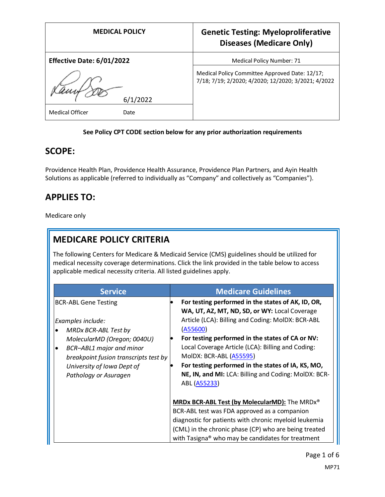| <b>MEDICAL POLICY</b>          | <b>Genetic Testing: Myeloproliferative</b><br><b>Diseases (Medicare Only)</b>                         |
|--------------------------------|-------------------------------------------------------------------------------------------------------|
| Effective Date: 6/01/2022      | Medical Policy Number: 71                                                                             |
|                                | Medical Policy Committee Approved Date: 12/17;<br>7/18; 7/19; 2/2020; 4/2020; 12/2020; 3/2021; 4/2022 |
| /2022                          |                                                                                                       |
| <b>Medical Officer</b><br>Date |                                                                                                       |

### **See Policy CPT CODE section below for any prior authorization requirements**

### **SCOPE:**

Providence Health Plan, Providence Health Assurance, Providence Plan Partners, and Ayin Health Solutions as applicable (referred to individually as "Company" and collectively as "Companies").

## **APPLIES TO:**

Medicare only

# **MEDICARE POLICY CRITERIA**

The following Centers for Medicare & Medicaid Service (CMS) guidelines should be utilized for medical necessity coverage determinations. Click the link provided in the table below to access applicable medical necessity criteria. All listed guidelines apply.

| <b>Service</b>                                                                                                                                                                              | <b>Medicare Guidelines</b>                                                                                                                                                                                                                                                              |
|---------------------------------------------------------------------------------------------------------------------------------------------------------------------------------------------|-----------------------------------------------------------------------------------------------------------------------------------------------------------------------------------------------------------------------------------------------------------------------------------------|
| <b>BCR-ABL Gene Testing</b><br>Examples include:                                                                                                                                            | For testing performed in the states of AK, ID, OR,<br>WA, UT, AZ, MT, ND, SD, or WY: Local Coverage<br>Article (LCA): Billing and Coding: MolDX: BCR-ABL                                                                                                                                |
| MRDx BCR-ABL Test by<br>MolecularMD (Oregon; 0040U)<br><b>BCR-ABL1</b> major and minor<br>٠<br>breakpoint fusion transcripts test by<br>University of Iowa Dept of<br>Pathology or Asuragen | (A55600)<br>For testing performed in the states of CA or NV:<br>Local Coverage Article (LCA): Billing and Coding:<br>MolDX: BCR-ABL (A55595)<br>For testing performed in the states of IA, KS, MO,<br>$\bullet$<br>NE, IN, and MI: LCA: Billing and Coding: MolDX: BCR-<br>ABL (A55233) |
|                                                                                                                                                                                             | MRDx BCR-ABL Test (by MolecularMD): The MRDx®<br>BCR-ABL test was FDA approved as a companion<br>diagnostic for patients with chronic myeloid leukemia<br>(CML) in the chronic phase (CP) who are being treated<br>with Tasigna® who may be candidates for treatment                    |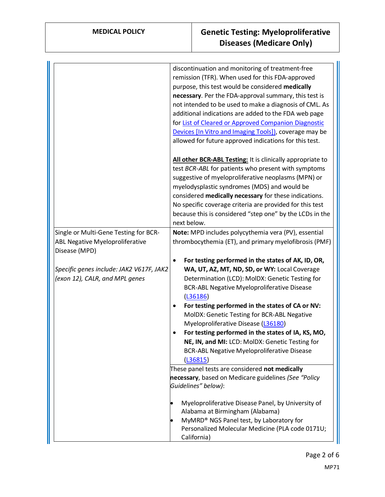|                                                                                                  | discontinuation and monitoring of treatment-free<br>remission (TFR). When used for this FDA-approved<br>purpose, this test would be considered medically<br>necessary. Per the FDA-approval summary, this test is<br>not intended to be used to make a diagnosis of CML. As<br>additional indications are added to the FDA web page<br>for List of Cleared or Approved Companion Diagnostic<br>Devices [In Vitro and Imaging Tools]), coverage may be<br>allowed for future approved indications for this test.                                                                                                                                                                                  |
|--------------------------------------------------------------------------------------------------|--------------------------------------------------------------------------------------------------------------------------------------------------------------------------------------------------------------------------------------------------------------------------------------------------------------------------------------------------------------------------------------------------------------------------------------------------------------------------------------------------------------------------------------------------------------------------------------------------------------------------------------------------------------------------------------------------|
|                                                                                                  | All other BCR-ABL Testing: It is clinically appropriate to<br>test BCR-ABL for patients who present with symptoms<br>suggestive of myeloproliferative neoplasms (MPN) or<br>myelodysplastic syndromes (MDS) and would be<br>considered medically necessary for these indications.<br>No specific coverage criteria are provided for this test<br>because this is considered "step one" by the LCDs in the<br>next below.                                                                                                                                                                                                                                                                         |
| Single or Multi-Gene Testing for BCR-<br><b>ABL Negative Myeloproliferative</b><br>Disease (MPD) | Note: MPD includes polycythemia vera (PV), essential<br>thrombocythemia (ET), and primary myelofibrosis (PMF)                                                                                                                                                                                                                                                                                                                                                                                                                                                                                                                                                                                    |
| Specific genes include: JAK2 V617F, JAK2<br>(exon 12), CALR, and MPL genes                       | For testing performed in the states of AK, ID, OR,<br>$\bullet$<br>WA, UT, AZ, MT, ND, SD, or WY: Local Coverage<br>Determination (LCD): MolDX: Genetic Testing for<br><b>BCR-ABL Negative Myeloproliferative Disease</b><br>(L36186)<br>For testing performed in the states of CA or NV:<br>٠<br>MolDX: Genetic Testing for BCR-ABL Negative<br>Myeloproliferative Disease (L36180)<br>For testing performed in the states of IA, KS, MO,<br>NE, IN, and MI: LCD: MolDX: Genetic Testing for<br><b>BCR-ABL Negative Myeloproliferative Disease</b><br>(L36815)<br>These panel tests are considered not medically<br>necessary, based on Medicare guidelines (See "Policy<br>Guidelines" below): |
|                                                                                                  | Myeloproliferative Disease Panel, by University of<br>Alabama at Birmingham (Alabama)<br>MyMRD® NGS Panel test, by Laboratory for<br>Personalized Molecular Medicine (PLA code 0171U;<br>California)                                                                                                                                                                                                                                                                                                                                                                                                                                                                                             |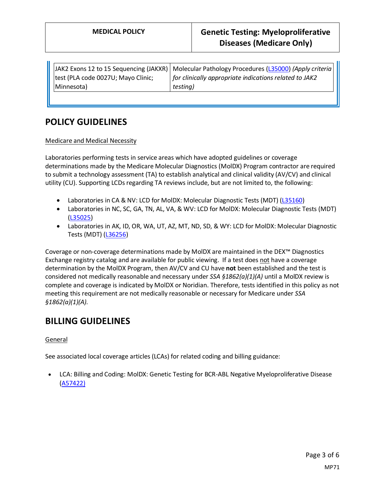| test (PLA code 0027U; Mayo Clinic; |                                                        |
|------------------------------------|--------------------------------------------------------|
|                                    | for clinically appropriate indications related to JAK2 |
| Minnesota)<br>testing)             |                                                        |

## **POLICY GUIDELINES**

#### Medicare and Medical Necessity

Laboratories performing tests in service areas which have adopted guidelines or coverage determinations made by the Medicare Molecular Diagnostics (MolDX) Program contractor are required to submit a technology assessment (TA) to establish analytical and clinical validity (AV/CV) and clinical utility (CU). Supporting LCDs regarding TA reviews include, but are not limited to, the following:

- Laboratories in CA & NV: LCD for MolDX: Molecular Diagnostic Tests (MDT) [\(L35160\)](https://www.cms.gov/medicare-coverage-database/view/lcd.aspx?lcdid=35160)
- Laboratories in NC, SC, GA, TN, AL, VA, & WV: LCD for MolDX: Molecular Diagnostic Tests (MDT) [\(L35025\)](https://www.cms.gov/medicare-coverage-database/view/lcd.aspx?lcdid=35025)
- Laboratories in AK, ID, OR, WA, UT, AZ, MT, ND, SD, & WY: LCD for MolDX: Molecular Diagnostic Tests (MDT) [\(L36256\)](https://www.cms.gov/medicare-coverage-database/view/lcd.aspx?lcdid=36256)

Coverage or non-coverage determinations made by MolDX are maintained in the DEX™ Diagnostics Exchange registry catalog and are available for public viewing. If a test does not have a coverage determination by the MolDX Program, then AV/CV and CU have **not** been established and the test is considered not medically reasonable and necessary under *SSA §1862(a)(1)(A)* until a MolDX review is complete and coverage is indicated by MolDX or Noridian. Therefore, tests identified in this policy as not meeting this requirement are not medically reasonable or necessary for Medicare under *SSA §1862(a)(1)(A).*

### **BILLING GUIDELINES**

### General

See associated local coverage articles (LCAs) for related coding and billing guidance:

• LCA: Billing and Coding: MolDX: Genetic Testing for BCR-ABL Negative Myeloproliferative Disease [\(A57422\)](https://www.cms.gov/medicare-coverage-database/details/article-details.aspx?articleId=57422)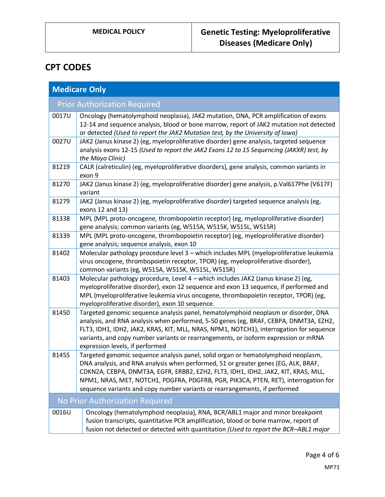# **CPT CODES**

| <b>Medicare Only</b> |                                                                                                                                                                                                                                                                                                                                                                                                                                   |  |
|----------------------|-----------------------------------------------------------------------------------------------------------------------------------------------------------------------------------------------------------------------------------------------------------------------------------------------------------------------------------------------------------------------------------------------------------------------------------|--|
|                      | <b>Prior Authorization Required</b>                                                                                                                                                                                                                                                                                                                                                                                               |  |
| 0017U                | Oncology (hematolymphoid neoplasia), JAK2 mutation, DNA, PCR amplification of exons<br>12-14 and sequence analysis, blood or bone marrow, report of JAK2 mutation not detected<br>or detected (Used to report the JAK2 Mutation test, by the University of Iowa)                                                                                                                                                                  |  |
| 0027U                | JAK2 (Janus kinase 2) (eg, myeloproliferative disorder) gene analysis, targeted sequence<br>analysis exons 12-15 (Used to report the JAK2 Exons 12 to 15 Sequencing (JAKXR) test, by<br>the Mayo Clinic)                                                                                                                                                                                                                          |  |
| 81219                | CALR (calreticulin) (eg, myeloproliferative disorders), gene analysis, common variants in<br>exon 9                                                                                                                                                                                                                                                                                                                               |  |
| 81270                | JAK2 (Janus kinase 2) (eg, myeloproliferative disorder) gene analysis, p.Val617Phe (V617F)<br>variant                                                                                                                                                                                                                                                                                                                             |  |
| 81279                | JAK2 (Janus kinase 2) (eg, myeloproliferative disorder) targeted sequence analysis (eg,<br>exons 12 and 13)                                                                                                                                                                                                                                                                                                                       |  |
| 81338                | MPL (MPL proto-oncogene, thrombopoietin receptor) (eg, myeloproliferative disorder)<br>gene analysis; common variants (eg, W515A, W515K, W515L, W515R)                                                                                                                                                                                                                                                                            |  |
| 81339                | MPL (MPL proto-oncogene, thrombopoietin receptor) (eg, myeloproliferative disorder)<br>gene analysis; sequence analysis, exon 10                                                                                                                                                                                                                                                                                                  |  |
| 81402                | Molecular pathology procedure level 3 - which includes MPL (myeloproliferative leukemia<br>virus oncogene, thrombopoietin receptor, TPOR) (eg, myeloproliferative disorder),<br>common variants (eg, W515A, W515K, W515L, W515R)                                                                                                                                                                                                  |  |
| 81403                | Molecular pathology procedure, Level 4 - which includes JAK2 (Janus kinase 2) (eg,<br>myeloproliferative disorder), exon 12 sequence and exon 13 sequence, if performed and<br>MPL (myeloproliferative leukemia virus oncogene, thrombopoietin receptor, TPOR) (eg,<br>myeloproliferative disorder), exon 10 sequence.                                                                                                            |  |
| 81450                | Targeted genomic sequence analysis panel, hematolymphoid neoplasm or disorder, DNA<br>analysis, and RNA analysis when performed, 5-50 genes (eg, BRAF, CEBPA, DNMT3A, EZH2,<br>FLT3, IDH1, IDH2, JAK2, KRAS, KIT, MLL, NRAS, NPM1, NOTCH1), interrogation for sequence<br>variants, and copy number variants or rearrangements, or isoform expression or mRNA<br>expression levels, if performed                                  |  |
| 81455                | Targeted genomic sequence analysis panel, solid organ or hematolymphoid neoplasm,<br>DNA analysis, and RNA analysis when performed, 51 or greater genes (EG, ALK, BRAF,<br>CDKN2A, CEBPA, DNMT3A, EGFR, ERBB2, EZH2, FLT3, IDH1, IDH2, JAK2, KIT, KRAS, MLL,<br>NPM1, NRAS, MET, NOTCH1, PDGFRA, PDGFRB, PGR, PIK3CA, PTEN, RET), interrogation for<br>sequence variants and copy number variants or rearrangements, if performed |  |
|                      | No Prior Authorization Required                                                                                                                                                                                                                                                                                                                                                                                                   |  |
| 0016U                | Oncology (hematolymphoid neoplasia), RNA, BCR/ABL1 major and minor breakpoint<br>fusion transcripts, quantitative PCR amplification, blood or bone marrow, report of<br>fusion not detected or detected with quantitation (Used to report the BCR-ABL1 major                                                                                                                                                                      |  |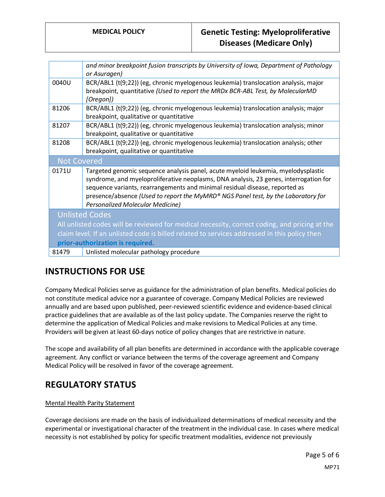|                    | and minor breakpoint fusion transcripts by University of Iowa, Department of Pathology<br>or Asuragen)                                                                                                                                                                                                                                                                                    |
|--------------------|-------------------------------------------------------------------------------------------------------------------------------------------------------------------------------------------------------------------------------------------------------------------------------------------------------------------------------------------------------------------------------------------|
| 0040U              | BCR/ABL1 (t(9;22)) (eg, chronic myelogenous leukemia) translocation analysis, major<br>breakpoint, quantitative (Used to report the MRDx BCR-ABL Test, by MolecularMD<br>[Oregon])                                                                                                                                                                                                        |
| 81206              | BCR/ABL1 (t(9;22)) (eg, chronic myelogenous leukemia) translocation analysis; major<br>breakpoint, qualitative or quantitative                                                                                                                                                                                                                                                            |
| 81207              | BCR/ABL1 (t(9;22)) (eg, chronic myelogenous leukemia) translocation analysis; minor<br>breakpoint, qualitative or quantitative                                                                                                                                                                                                                                                            |
| 81208              | BCR/ABL1 (t(9;22)) (eg, chronic myelogenous leukemia) translocation analysis; other<br>breakpoint, qualitative or quantitative                                                                                                                                                                                                                                                            |
| <b>Not Covered</b> |                                                                                                                                                                                                                                                                                                                                                                                           |
| 0171U              | Targeted genomic sequence analysis panel, acute myeloid leukemia, myelodysplastic<br>syndrome, and myeloproliferative neoplasms, DNA analysis, 23 genes, interrogation for<br>sequence variants, rearrangements and minimal residual disease, reported as<br>presence/absence (Used to report the MyMRD® NGS Panel test, by the Laboratory for<br><b>Personalized Molecular Medicine)</b> |
|                    | <b>Unlisted Codes</b>                                                                                                                                                                                                                                                                                                                                                                     |
|                    | All unlisted codes will be reviewed for medical necessity, correct coding, and pricing at the                                                                                                                                                                                                                                                                                             |
|                    | claim level. If an unlisted code is billed related to services addressed in this policy then                                                                                                                                                                                                                                                                                              |
|                    | prior-authorization is required.                                                                                                                                                                                                                                                                                                                                                          |
| 81479              | Unlisted molecular pathology procedure                                                                                                                                                                                                                                                                                                                                                    |

# **INSTRUCTIONS FOR USE**

Company Medical Policies serve as guidance for the administration of plan benefits. Medical policies do not constitute medical advice nor a guarantee of coverage. Company Medical Policies are reviewed annually and are based upon published, peer-reviewed scientific evidence and evidence-based clinical practice guidelines that are available as of the last policy update. The Companies reserve the right to determine the application of Medical Policies and make revisions to Medical Policies at any time. Providers will be given at least 60-days notice of policy changes that are restrictive in nature.

The scope and availability of all plan benefits are determined in accordance with the applicable coverage agreement. Any conflict or variance between the terms of the coverage agreement and Company Medical Policy will be resolved in favor of the coverage agreement.

### **REGULATORY STATUS**

### Mental Health Parity Statement

Coverage decisions are made on the basis of individualized determinations of medical necessity and the experimental or investigational character of the treatment in the individual case. In cases where medical necessity is not established by policy for specific treatment modalities, evidence not previously